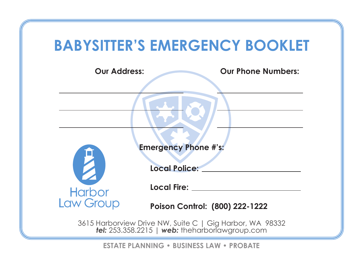## **BABYSITTER'S EMERGENCY BOOKLET**

| <b>Our Address:</b>         | <b>Our Phone Numbers:</b>                                |
|-----------------------------|----------------------------------------------------------|
|                             |                                                          |
|                             |                                                          |
|                             |                                                          |
|                             |                                                          |
| <b>Emergency Phone #'s:</b> |                                                          |
| Z                           | <b>Local Police:</b>                                     |
| <b>Harbor</b>               | Local Fire: __                                           |
| Law Group                   | Poison Control: (800) 222-1222                           |
|                             | 3615 Harborview Drive NW, Suite C   Gig Harbor, WA 98332 |

*tel:* 253.358.2215 | *web:* theharborlawgroup.com

**ESTATE PLANNING • BUSINESS LAW • PROBATE**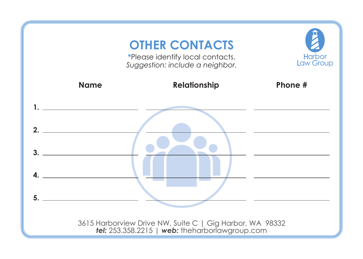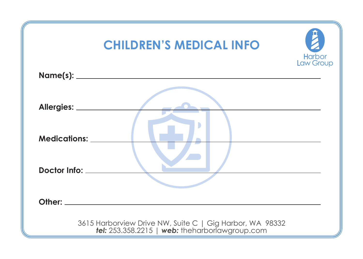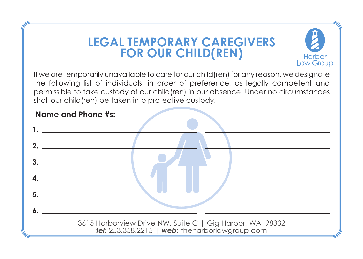## **LEGAL TEMPORARY CAREGIVERSFOR OUR CHILD(REN)**



If we are temporarily unavailable to care for our child(ren) for any reason, we designate the following list of individuals, in order of preference, as legally competent and permissible to take custody of our child(ren) in our absence. Under no circumstances shall our child(ren) be taken into protective custody.

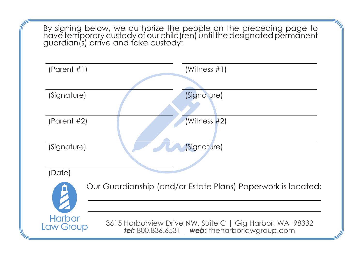By signing below, we authorize the people on the preceding page to have temporary custody of our child(ren) until the designated permanent guardian(s) arrive and take custody:

| (Parent #1)                                                  | (Witness $#1$ )                                                                                                      |
|--------------------------------------------------------------|----------------------------------------------------------------------------------------------------------------------|
|                                                              |                                                                                                                      |
| (Signature)                                                  | (Signature)                                                                                                          |
|                                                              |                                                                                                                      |
| (Parent $#2$ )                                               | (Witness #2)                                                                                                         |
|                                                              |                                                                                                                      |
| (Signature)                                                  | (Signature)                                                                                                          |
|                                                              |                                                                                                                      |
| (Date)                                                       |                                                                                                                      |
| Our Guardianship (and/or Estate Plans) Paperwork is located: |                                                                                                                      |
|                                                              |                                                                                                                      |
| <b>Harbor</b><br><b>Law Group</b>                            | 3615 Harborview Drive NW, Suite C   Gig Harbor, WA 98332<br><b>tel:</b> 800.836.6531   $web:$ the harbor awgroup.com |